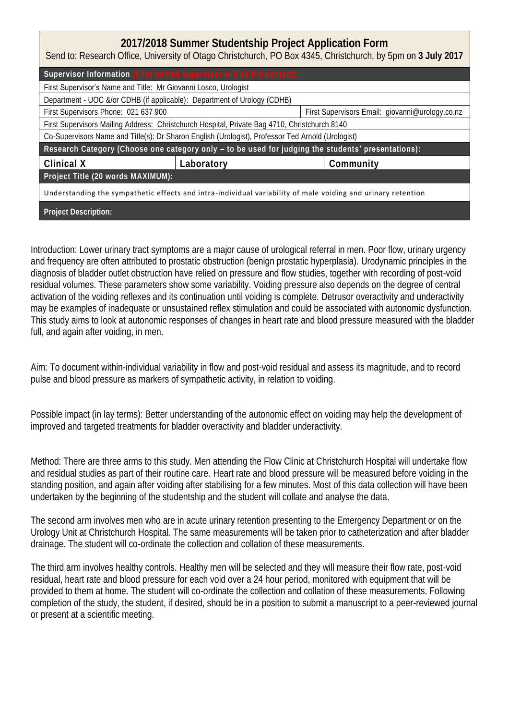| 2017/2018 Summer Studentship Project Application Form<br>Send to: Research Office, University of Otago Christchurch, PO Box 4345, Christchurch, by 5pm on 3 July 2017 |            |                                                 |  |  |
|-----------------------------------------------------------------------------------------------------------------------------------------------------------------------|------------|-------------------------------------------------|--|--|
| Supervisor Information (First named supervisor will be the contact):                                                                                                  |            |                                                 |  |  |
| First Supervisor's Name and Title: Mr Giovanni Losco, Urologist                                                                                                       |            |                                                 |  |  |
| Department - UOC &/or CDHB (if applicable): Department of Urology (CDHB)                                                                                              |            |                                                 |  |  |
| First Supervisors Phone: 021 637 900                                                                                                                                  |            | First Supervisors Email: giovanni@urology.co.nz |  |  |
| First Supervisors Mailing Address: Christchurch Hospital, Private Bag 4710, Christchurch 8140                                                                         |            |                                                 |  |  |
| Co-Supervisors Name and Title(s): Dr Sharon English (Urologist), Professor Ted Arnold (Urologist)                                                                     |            |                                                 |  |  |
| Research Category (Choose one category only - to be used for judging the students' presentations):                                                                    |            |                                                 |  |  |
| Clinical X                                                                                                                                                            | Laboratory | Community                                       |  |  |
| Project Title (20 words MAXIMUM):                                                                                                                                     |            |                                                 |  |  |
| Understanding the sympathetic effects and intra-individual variability of male voiding and urinary retention                                                          |            |                                                 |  |  |
| Project Description:                                                                                                                                                  |            |                                                 |  |  |

Introduction: Lower urinary tract symptoms are a major cause of urological referral in men. Poor flow, urinary urgency and frequency are often attributed to prostatic obstruction (benign prostatic hyperplasia). Urodynamic principles in the diagnosis of bladder outlet obstruction have relied on pressure and flow studies, together with recording of post-void residual volumes. These parameters show some variability. Voiding pressure also depends on the degree of central activation of the voiding reflexes and its continuation until voiding is complete. Detrusor overactivity and underactivity may be examples of inadequate or unsustained reflex stimulation and could be associated with autonomic dysfunction. This study aims to look at autonomic responses of changes in heart rate and blood pressure measured with the bladder full, and again after voiding, in men.

Aim: To document within-individual variability in flow and post-void residual and assess its magnitude, and to record pulse and blood pressure as markers of sympathetic activity, in relation to voiding.

Possible impact (in lay terms): Better understanding of the autonomic effect on voiding may help the development of improved and targeted treatments for bladder overactivity and bladder underactivity.

Method: There are three arms to this study. Men attending the Flow Clinic at Christchurch Hospital will undertake flow and residual studies as part of their routine care. Heart rate and blood pressure will be measured before voiding in the standing position, and again after voiding after stabilising for a few minutes. Most of this data collection will have been undertaken by the beginning of the studentship and the student will collate and analyse the data.

The second arm involves men who are in acute urinary retention presenting to the Emergency Department or on the Urology Unit at Christchurch Hospital. The same measurements will be taken prior to catheterization and after bladder drainage. The student will co-ordinate the collection and collation of these measurements.

The third arm involves healthy controls. Healthy men will be selected and they will measure their flow rate, post-void residual, heart rate and blood pressure for each void over a 24 hour period, monitored with equipment that will be provided to them at home. The student will co-ordinate the collection and collation of these measurements. Following completion of the study, the student, if desired, should be in a position to submit a manuscript to a peer-reviewed journal or present at a scientific meeting.